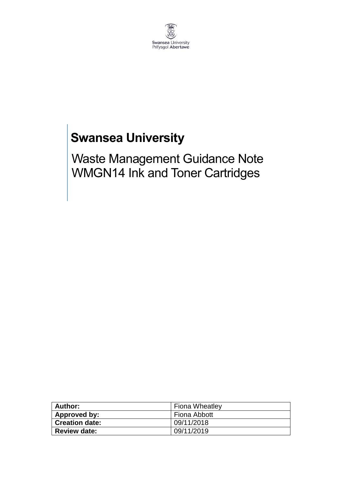

# **Swansea University**

Waste Management Guidance Note WMGN14 Ink and Toner Cartridges

| Author:        | <b>Fiona Wheatley</b> |
|----------------|-----------------------|
| Approved by:   | Fiona Abbott          |
| Creation date: | 09/11/2018            |
| ⊩ Review date: | 09/11/2019            |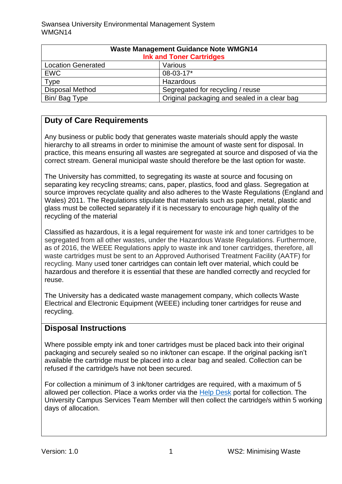| <b>Waste Management Guidance Note WMGN14</b><br><b>Ink and Toner Cartridges</b> |                                              |
|---------------------------------------------------------------------------------|----------------------------------------------|
| <b>Location Generated</b>                                                       | Various                                      |
| <b>EWC</b>                                                                      | 08-03-17*                                    |
| Type                                                                            | Hazardous                                    |
| <b>Disposal Method</b>                                                          | Segregated for recycling / reuse             |
| Bin/Bag Type                                                                    | Original packaging and sealed in a clear bag |

## **Duty of Care Requirements**

Any business or public body that generates waste materials should apply the waste hierarchy to all streams in order to minimise the amount of waste sent for disposal. In practice, this means ensuring all wastes are segregated at source and disposed of via the correct stream. General municipal waste should therefore be the last option for waste.

The University has committed, to segregating its waste at source and focusing on separating key recycling streams; cans, paper, plastics, food and glass. Segregation at source improves recyclate quality and also adheres to the Waste Regulations (England and Wales) 2011. The Regulations stipulate that materials such as paper, metal, plastic and glass must be collected separately if it is necessary to encourage high quality of the recycling of the material

Classified as hazardous, it is a legal requirement for waste ink and toner cartridges to be segregated from all other wastes, under the Hazardous Waste Regulations. Furthermore, as of 2016, the WEEE Regulations apply to waste ink and toner cartridges, therefore, all waste cartridges must be sent to an Approved Authorised Treatment Facility (AATF) for recycling. Many used toner cartridges can contain left over material, which could be hazardous and therefore it is essential that these are handled correctly and recycled for reuse.

The University has a dedicated waste management company, which collects Waste Electrical and Electronic Equipment (WEEE) including toner cartridges for reuse and recycling.

#### **Disposal Instructions**

Where possible empty ink and toner cartridges must be placed back into their original packaging and securely sealed so no ink/toner can escape. If the original packing isn't available the cartridge must be placed into a clear bag and sealed. Collection can be refused if the cartridge/s have not been secured.

For collection a minimum of 3 ink/toner cartridges are required, with a maximum of 5 allowed per collection. Place a works order via the [Help Desk](https://quemis.swan.ac.uk/Q2_Live/login) portal for collection. The University Campus Services Team Member will then collect the cartridge/s within 5 working days of allocation.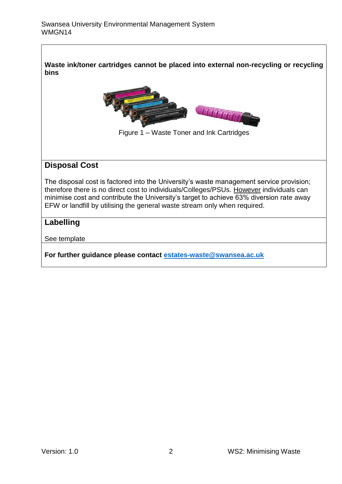**Waste ink/toner cartridges cannot be placed into external non-recycling or recycling bins**



Figure 1 – Waste Toner and Ink Cartridges

#### **Disposal Cost**

The disposal cost is factored into the University's waste management service provision; therefore there is no direct cost to individuals/Colleges/PSUs. However individuals can minimise cost and contribute the University's target to achieve 63% diversion rate away EFW or landfill by utilising the general waste stream only when required.

### **Labelling**

See template

**For further guidance please contact [estates-waste@swansea.ac.uk](mailto:estates-waste@swansea.ac.uk)**